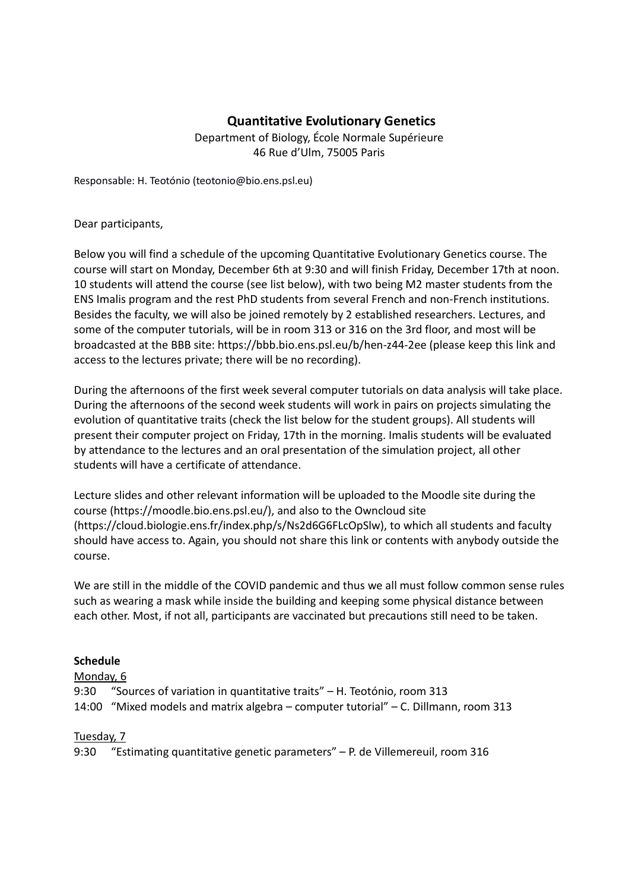# **E38 Quantitative Evolutionary Genetics**

Department of Biology, École Normale Supérieure 46 Rue d'Ulm, 75005 Paris

Responsable: H. Teotónio (teotonio@bio.ens.psl.eu)

Dear participants,

Below you will find a schedule of the upcoming Quantitative Evolutionary Genetics course. The course will start on Monday, December 6th at 9:30 and will finish Friday, December 17th at noon. 10 students will attend the course (see list below), with two being M2 master students from the ENS Imalis program and the rest PhD students from several French and non-French institutions. Besides the faculty, we will also be joined remotely by 2 established researchers. Lectures, and some of the computer tutorials, will be in room 313 or 316 on the 3rd floor, and most will be broadcasted at the BBB site: https://bbb.bio.ens.psl.eu/b/hen-z44-2ee (please keep this link and access to the lectures private; there will be no recording).

During the afternoons of the first week several computer tutorials on data analysis will take place. During the afternoons of the second week students will work in pairs on projects simulating the evolution of quantitative traits (check the list below for the student groups). All students will present their computer project on Friday, 17th in the morning. Imalis students will be evaluated by attendance to the lectures and an oral presentation of the simulation project, all other students will have a certificate of attendance.

Lecture slides and other relevant information will be uploaded to the Moodle site during the course (https://moodle.bio.ens.psl.eu/), and also to the Owncloud site (https://cloud.biologie.ens.fr/index.php/s/Ns2d6G6FLcOpSlw), to which all students and faculty should have access to. Again, you should not share this link or contents with anybody outside the course.

We are still in the middle of the COVID pandemic and thus we all must follow common sense rules such as wearing a mask while inside the building and keeping some physical distance between each other. Most, if not all, participants are vaccinated but precautions still need to be taken.

### **Schedule**

Monday, 6

9:30 "Sources of variation in quantitative traits" – H. Teotónio, room 313 14:00 "Mixed models and matrix algebra – computer tutorial" – C. Dillmann, room 313

### Tuesday, 7

9:30 "Estimating quantitative genetic parameters" – P. de Villemereuil, room 316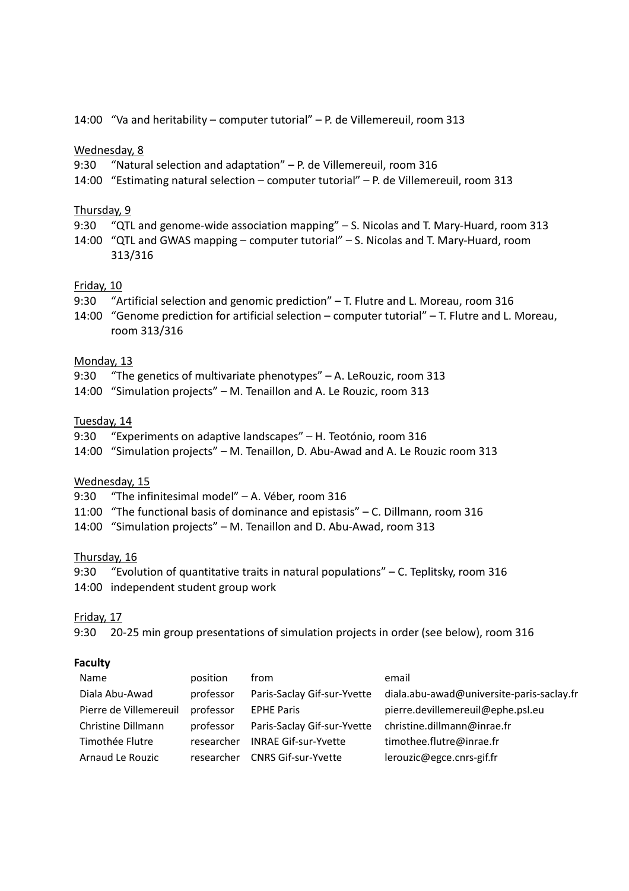14:00 "Va and heritability – computer tutorial" – P. de Villemereuil, room 313

#### Wednesday, 8

- 9:30 "Natural selection and adaptation" P. de Villemereuil, room 316
- 14:00 "Estimating natural selection computer tutorial" P. de Villemereuil, room 313

#### Thursday, 9

9:30 "QTL and genome-wide association mapping" – S. Nicolas and T. Mary-Huard, room 313 14:00 "QTL and GWAS mapping – computer tutorial" – S. Nicolas and T. Mary-Huard, room 313/316

### Friday, 10

- 9:30 "Artificial selection and genomic prediction" T. Flutre and L. Moreau, room 316
- 14:00 "Genome prediction for artificial selection computer tutorial" T. Flutre and L. Moreau, room 313/316

#### Monday, 13

- 9:30 "The genetics of multivariate phenotypes" A. LeRouzic, room 313
- 14:00 "Simulation projects" M. Tenaillon and A. Le Rouzic, room 313

#### Tuesday, 14

- 9:30 "Experiments on adaptive landscapes" H. Teotónio, room 316
- 14:00 "Simulation projects" M. Tenaillon, D. Abu-Awad and A. Le Rouzic room 313

### Wednesday, 15

- 9:30 "The infinitesimal model" A. Véber, room 316
- 11:00 "The functional basis of dominance and epistasis" C. Dillmann, room 316
- 14:00 "Simulation projects" M. Tenaillon and D. Abu-Awad, room 313

### Thursday, 16

9:30 "Evolution of quantitative traits in natural populations" – C. Teplitsky, room 316 14:00 independent student group work

### Friday, 17

9:30 20-25 min group presentations of simulation projects in order (see below), room 316

### **Faculty**

| Name                   | position   | from                        | email                                     |
|------------------------|------------|-----------------------------|-------------------------------------------|
| Diala Abu-Awad         | professor  | Paris-Saclay Gif-sur-Yvette | diala.abu-awad@universite-paris-saclay.fr |
| Pierre de Villemereuil | professor  | <b>EPHE Paris</b>           | pierre.devillemereuil@ephe.psl.eu         |
| Christine Dillmann     | professor  | Paris-Saclay Gif-sur-Yvette | christine.dillmann@inrae.fr               |
| Timothée Flutre        | researcher | <b>INRAE Gif-sur-Yvette</b> | timothee.flutre@inrae.fr                  |
| Arnaud Le Rouzic       | researcher | <b>CNRS Gif-sur-Yvette</b>  | lerouzic@egce.cnrs-gif.fr                 |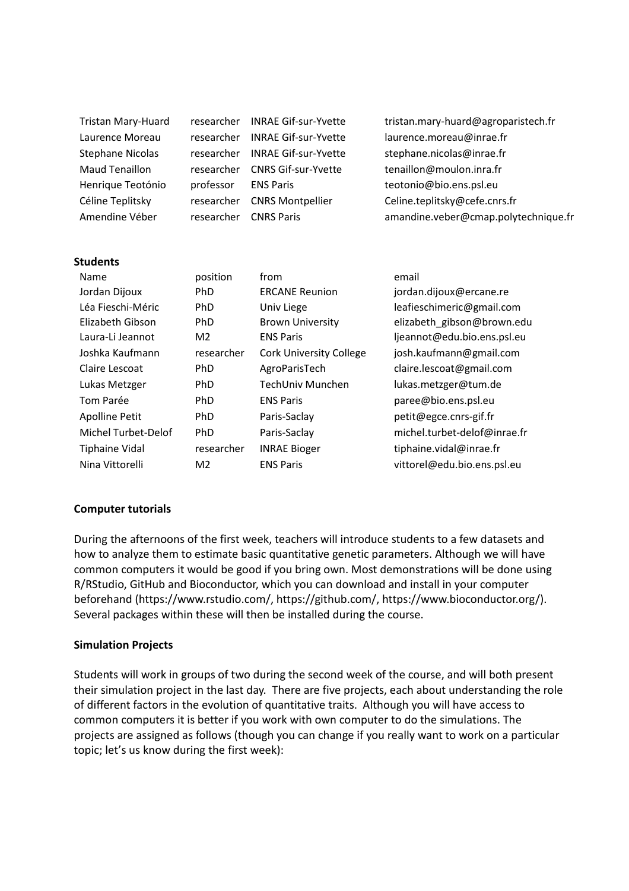| researcher | <b>INRAE Gif-sur-Yvette</b> | tristan.mary-huard@agroparistech.fr  |
|------------|-----------------------------|--------------------------------------|
| researcher | <b>INRAE Gif-sur-Yvette</b> | laurence.moreau@inrae.fr             |
| researcher | <b>INRAE Gif-sur-Yvette</b> | stephane.nicolas@inrae.fr            |
| researcher | <b>CNRS Gif-sur-Yvette</b>  | tenaillon@moulon.inra.fr             |
| professor  | <b>ENS Paris</b>            | teotonio@bio.ens.psl.eu              |
| researcher | <b>CNRS Montpellier</b>     | Celine.teplitsky@cefe.cnrs.fr        |
| researcher | <b>CNRS Paris</b>           | amandine.veber@cmap.polytechnique.fr |
|            |                             |                                      |
|            |                             |                                      |
|            |                             |                                      |

| Name                  | position       | from                           | email                        |
|-----------------------|----------------|--------------------------------|------------------------------|
| Jordan Dijoux         | <b>PhD</b>     | <b>ERCANE Reunion</b>          | jordan.dijoux@ercane.re      |
| Léa Fieschi-Méric     | <b>PhD</b>     | Univ Liege                     | leafieschimeric@gmail.com    |
| Elizabeth Gibson      | <b>PhD</b>     | <b>Brown University</b>        | elizabeth_gibson@brown.edu   |
| Laura-Li Jeannot      | M <sub>2</sub> | <b>ENS Paris</b>               | ljeannot@edu.bio.ens.psl.eu  |
| Joshka Kaufmann       | researcher     | <b>Cork University College</b> | josh.kaufmann@gmail.com      |
| Claire Lescoat        | <b>PhD</b>     | AgroParisTech                  | claire.lescoat@gmail.com     |
| Lukas Metzger         | <b>PhD</b>     | TechUniv Munchen               | lukas.metzger@tum.de         |
| Tom Parée             | <b>PhD</b>     | <b>ENS Paris</b>               | paree@bio.ens.psl.eu         |
| Apolline Petit        | <b>PhD</b>     | Paris-Saclay                   | petit@egce.cnrs-gif.fr       |
| Michel Turbet-Delof   | <b>PhD</b>     | Paris-Saclay                   | michel.turbet-delof@inrae.fr |
| <b>Tiphaine Vidal</b> | researcher     | <b>INRAE Bioger</b>            | tiphaine.vidal@inrae.fr      |
| Nina Vittorelli       | M <sub>2</sub> | <b>ENS Paris</b>               | vittorel@edu.bio.ens.psl.eu  |

### **Computer tutorials**

During the afternoons of the first week, teachers will introduce students to a few datasets and how to analyze them to estimate basic quantitative genetic parameters. Although we will have common computers it would be good if you bring own. Most demonstrations will be done using R/RStudio, GitHub and Bioconductor, which you can download and install in your computer beforehand (https://www.rstudio.com/, https://github.com/, https://www.bioconductor.org/). Several packages within these will then be installed during the course.

#### **Simulation Projects**

Students will work in groups of two during the second week of the course, and will both present their simulation project in the last day. There are five projects, each about understanding the role of different factors in the evolution of quantitative traits. Although you will have access to common computers it is better if you work with own computer to do the simulations. The projects are assigned as follows (though you can change if you really want to work on a particular topic; let's us know during the first week):